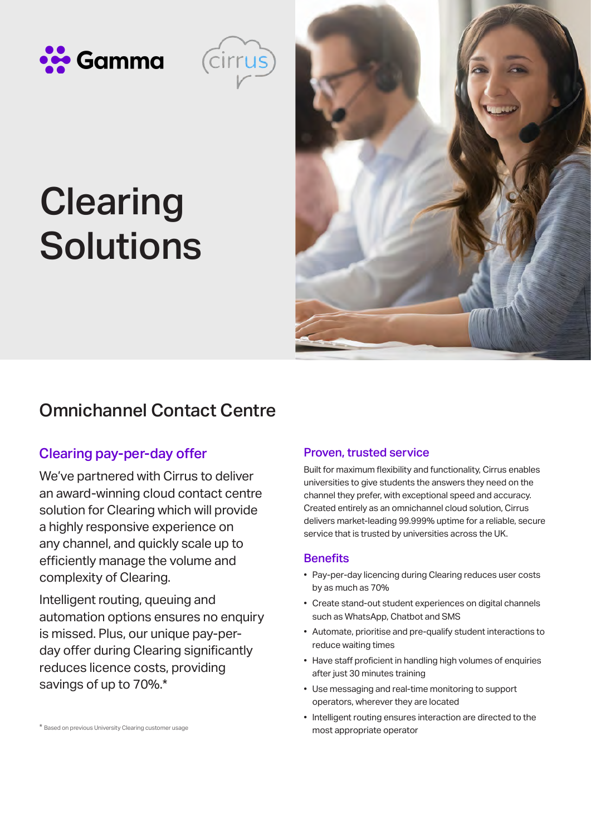



# **Clearing** Solutions



# Omnichannel Contact Centre

### Clearing pay-per-day offer

We've partnered with Cirrus to deliver an award-winning cloud contact centre solution for Clearing which will provide a highly responsive experience on any channel, and quickly scale up to efficiently manage the volume and complexity of Clearing.

Intelligent routing, queuing and automation options ensures no enquiry is missed. Plus, our unique pay-perday offer during Clearing significantly reduces licence costs, providing savings of up to 70%.\*

#### \* Based on previous University Clearing customer usage

#### Proven, trusted service

Built for maximum flexibility and functionality, Cirrus enables universities to give students the answers they need on the channel they prefer, with exceptional speed and accuracy. Created entirely as an omnichannel cloud solution, Cirrus delivers market-leading 99.999% uptime for a reliable, secure service that is trusted by universities across the UK.

#### **Benefits**

- Pay-per-day licencing during Clearing reduces user costs by as much as 70%
- Create stand-out student experiences on digital channels such as WhatsApp, Chatbot and SMS
- Automate, prioritise and pre-qualify student interactions to reduce waiting times
- Have staff proficient in handling high volumes of enquiries after just 30 minutes training
- Use messaging and real-time monitoring to support operators, wherever they are located
- Intelligent routing ensures interaction are directed to the most appropriate operator